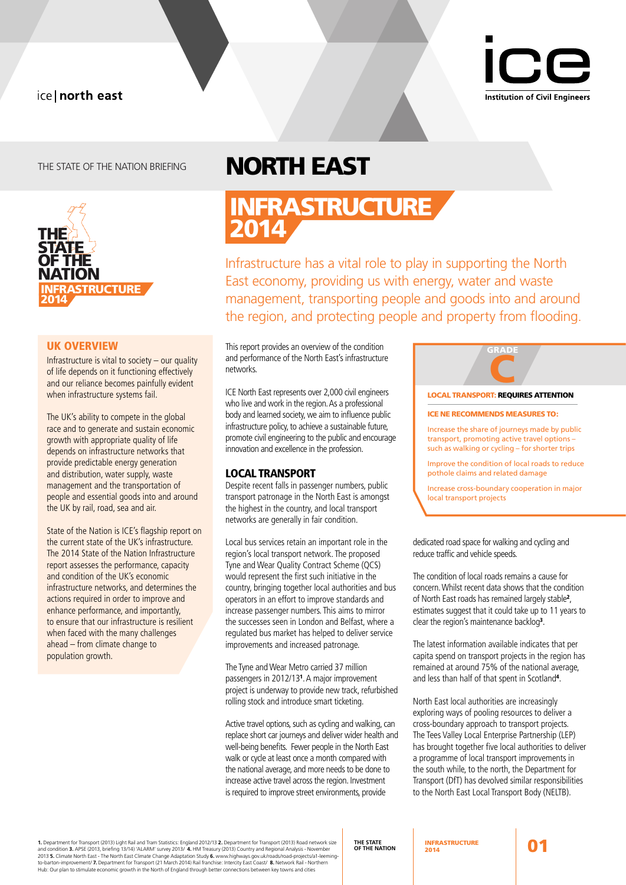# ice | north east



THE STATE OF THE NATION BRIEFING



### UK OVERVIEW

Infrastructure is vital to society – our quality of life depends on it functioning effectively and our reliance becomes painfully evident when infrastructure systems fail.

The UK's ability to compete in the global race and to generate and sustain economic growth with appropriate quality of life depends on infrastructure networks that provide predictable energy generation and distribution, water supply, waste management and the transportation of people and essential goods into and around the UK by rail, road, sea and air.

State of the Nation is ICE's flagship report on the current state of the UK's infrastructure. The 2014 State of the Nation Infrastructure report assesses the performance, capacity and condition of the UK's economic infrastructure networks, and determines the actions required in order to improve and enhance performance, and importantly, to ensure that our infrastructure is resilient when faced with the many challenges ahead – from climate change to population growth.

# north east

INFRASTRUCTURE 2014

Infrastructure has a vital role to play in supporting the North East economy, providing us with energy, water and waste management, transporting people and goods into and around the region, and protecting people and property from flooding.

This report provides an overview of the condition and performance of the North East's infrastructure networks.

ICE North East represents over 2,000 civil engineers who live and work in the region. As a professional body and learned society, we aim to influence public infrastructure policy, to achieve a sustainable future, promote civil engineering to the public and encourage innovation and excellence in the profession.

### LOCAL TRANSPORT

Despite recent falls in passenger numbers, public transport patronage in the North East is amongst the highest in the country, and local transport networks are generally in fair condition.

Local bus services retain an important role in the region's local transport network. The proposed Tyne and Wear Quality Contract Scheme (QCS) would represent the first such initiative in the country, bringing together local authorities and bus operators in an effort to improve standards and increase passenger numbers. This aims to mirror the successes seen in London and Belfast, where a regulated bus market has helped to deliver service improvements and increased patronage.

The Tyne and Wear Metro carried 37 million passengers in 2012/13<sup>1</sup>. A major improvement project is underway to provide new track, refurbished rolling stock and introduce smart ticketing.

Active travel options, such as cycling and walking, can replace short car journeys and deliver wider health and well-being benefits. Fewer people in the North East walk or cycle at least once a month compared with the national average, and more needs to be done to increase active travel across the region. Investment is required to improve street environments, provide



Improve the condition of local roads to reduce pothole claims and related damage

Increase cross-boundary cooperation in major local transport projects

dedicated road space for walking and cycling and reduce traffic and vehicle speeds.

The condition of local roads remains a cause for concern. Whilst recent data shows that the condition of North East roads has remained largely stable<sup>2</sup> , estimates suggest that it could take up to 11 years to clear the region's maintenance backlog<sup>3</sup> .

The latest information available indicates that per capita spend on transport projects in the region has remained at around 75% of the national average, and less than half of that spent in Scotland<sup>4</sup> .

North East local authorities are increasingly exploring ways of pooling resources to deliver a cross-boundary approach to transport projects. The Tees Valley Local Enterprise Partnership (LEP) has brought together five local authorities to deliver a programme of local transport improvements in the south while, to the north, the Department for Transport (DfT) has devolved similar responsibilities to the North East Local Transport Body (NELTB).

**1.** Department for Transport (2013) Light Rail and Tram Statistics: England 2012/13 **2.** Department for Transport (2013) Road network size<br>and condition **3.** APSE (2013, briefing 13/14) 'ALARM' survey 2013/ **4.** HM Treasu Hub: Our plan to stimulate economic growth in the North of England through better connections between key towns and cities

**THE STATE OF THE NATION** 2014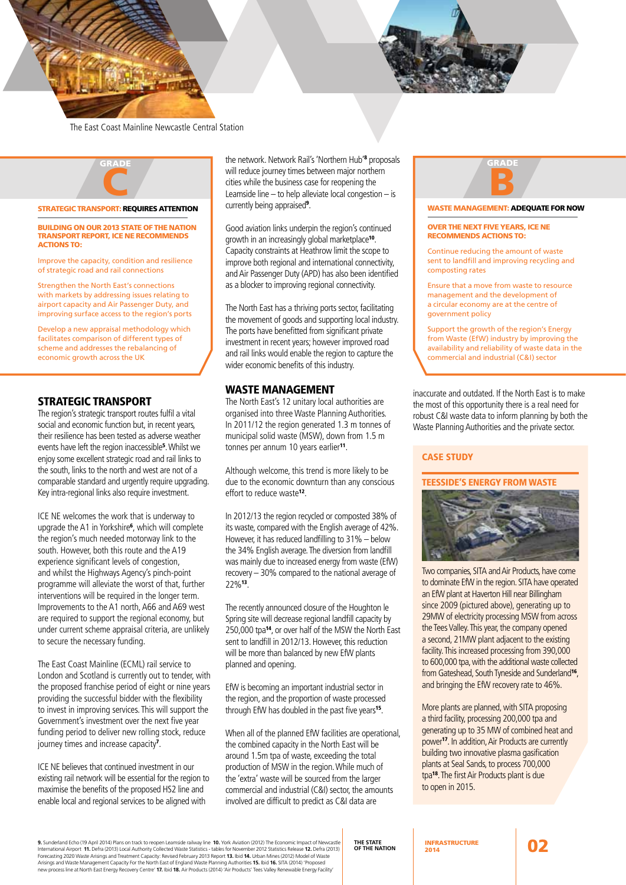

The East Coast Mainline Newcastle Central Station



### STRATEGIC TRANSPORT: REQUIRES ATTENTION

#### Building on our 2013 State of the Nation Transport report, ice ne recommends **ACTIONS TO:**

Improve the capacity, condition and resilience of strategic road and rail connections

Strengthen the North East's connections with markets by addressing issues relating to airport capacity and Air Passenger Duty, and improving surface access to the region's ports

Develop a new appraisal methodology which facilitates comparison of different types of scheme and addresses the rebalancing of economic growth across the UK

### STRATEGIC TRANSPORT

The region's strategic transport routes fulfil a vital social and economic function but, in recent years, their resilience has been tested as adverse weather events have left the region inaccessible<sup>5</sup> . Whilst we enjoy some excellent strategic road and rail links to the south, links to the north and west are not of a comparable standard and urgently require upgrading. Key intra-regional links also require investment.

ICE NE welcomes the work that is underway to upgrade the A1 in Yorkshire<sup>6</sup> , which will complete the region's much needed motorway link to the south. However, both this route and the A19 experience significant levels of congestion, and whilst the Highways Agency's pinch-point programme will alleviate the worst of that, further interventions will be required in the longer term. Improvements to the A1 north, A66 and A69 west are required to support the regional economy, but under current scheme appraisal criteria, are unlikely to secure the necessary funding.

The East Coast Mainline (ECML) rail service to London and Scotland is currently out to tender, with the proposed franchise period of eight or nine years providing the successful bidder with the flexibility to invest in improving services. This will support the Government's investment over the next five year funding period to deliver new rolling stock, reduce journey times and increase capacity<sup>7</sup>.

ICE NE believes that continued investment in our existing rail network will be essential for the region to maximise the benefits of the proposed HS2 line and enable local and regional services to be aligned with

the network. Network Rail's 'Northern Hub'<sup>8</sup> proposals will reduce journey times between major northern cities while the business case for reopening the Leamside line – to help alleviate local congestion – is currently being appraised<sup>9</sup>.

Good aviation links underpin the region's continued growth in an increasingly global marketplace<sup>10</sup>. Capacity constraints at Heathrow limit the scope to improve both regional and international connectivity, and Air Passenger Duty (APD) has also been identified as a blocker to improving regional connectivity.

The North East has a thriving ports sector, facilitating the movement of goods and supporting local industry. The ports have benefitted from significant private investment in recent years; however improved road and rail links would enable the region to capture the wider economic benefits of this industry.

### WASTE MANAGEMENT

The North East's 12 unitary local authorities are organised into three Waste Planning Authorities. In 2011/12 the region generated 1.3 m tonnes of municipal solid waste (MSW), down from 1.5 m tonnes per annum 10 years earlier<sup>11</sup>.

Although welcome, this trend is more likely to be due to the economic downturn than any conscious effort to reduce waste<sup>12</sup>.

In 2012/13 the region recycled or composted 38% of its waste, compared with the English average of 42%. However, it has reduced landfilling to 31% – below the 34% English average. The diversion from landfill was mainly due to increased energy from waste (EfW) recovery – 30% compared to the national average of 22%<sup>13</sup>.

The recently announced closure of the Houghton le Spring site will decrease regional landfill capacity by 250,000 tpa<sup>14</sup>, or over half of the MSW the North East sent to landfill in 2012/13. However, this reduction will be more than balanced by new EfW plants planned and opening.

EfW is becoming an important industrial sector in the region, and the proportion of waste processed through EfW has doubled in the past five years<sup>15</sup>.

When all of the planned EfW facilities are operational, the combined capacity in the North East will be around 1.5m tpa of waste, exceeding the total production of MSW in the region. While much of the 'extra' waste will be sourced from the larger commercial and industrial (C&I) sector, the amounts involved are difficult to predict as C&I data are

# **GRAD** B

#### WASTE MANAGEMENT: ADEOUATE FOR NOW

### Over the next five years, ICE NE recommends actions to:

Continue reducing the amount of waste sent to landfill and improving recycling and composting rates

Ensure that a move from waste to resource management and the development of a circular economy are at the centre of government policy

Support the growth of the region's Energy from Waste (EfW) industry by improving the availability and reliability of waste data in the commercial and industrial (C&I) sector

inaccurate and outdated. If the North East is to make the most of this opportunity there is a real need for robust C&I waste data to inform planning by both the Waste Planning Authorities and the private sector.

### CASE STUDY

### teesside's Energy from Waste



Two companies, SITA and Air Products, have come to dominate EfW in the region. SITA have operated an EfW plant at Haverton Hill near Billingham since 2009 (pictured above), generating up to 29MW of electricity processing MSW from across the Tees Valley. This year, the company opened a second, 21MW plant adjacent to the existing facility. This increased processing from 390,000 to 600,000 tpa, with the additional waste collected from Gateshead, South Tyneside and Sunderland<sup>16</sup>, and bringing the EfW recovery rate to 46%.

More plants are planned, with SITA proposing a third facility, processing 200,000 tpa and generating up to 35 MW of combined heat and power<sup>17</sup>. In addition, Air Products are currently building two innovative plasma gasification plants at Seal Sands, to process 700,000 tpa<sup>18</sup>. The first Air Products plant is due to open in 2015.

**9.** Sunderland Echo (19 April 2014) Plans on track to reopen Leamside railway line **10.** York Aviation (2012) The Economic Impact of Newcastle International Airport 11. Defra (2013) Local Authority Collected Waste Statistics - tables for November 2012 Statistics Release 12. Defra (2013)<br>Forecasting 2020 Waste Arisings and Treatment Capacity: Revised February 2013

**THE STATE OF THE NATION** 2014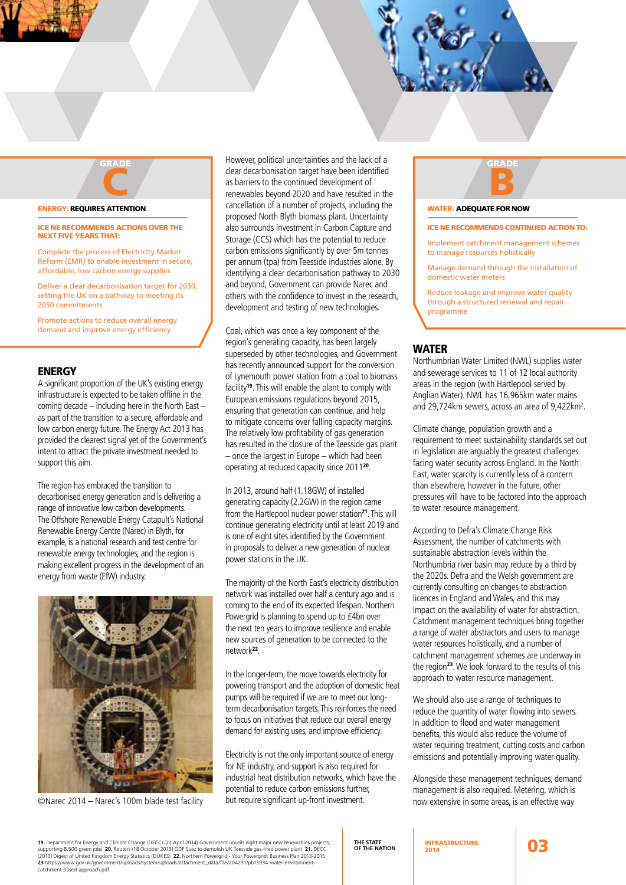# ENERGY: Requires attention C

### ICE NE recommends actions over the next five years that:

grade

Complete the process of Electricity Market Reform (EMR) to enable investment in secure, affordable, low carbon energy supplies

Deliver a clear decarbonisation target for 2030, setting the UK on a pathway to meeting its 2050 commitments

Promote actions to reduce overall energy demand and improve energy efficiency

### **ENERGY**

A significant proportion of the UK's existing energy infrastructure is expected to be taken offline in the coming decade – including here in the North East – as part of the transition to a secure, affordable and low carbon energy future. The Energy Act 2013 has provided the clearest signal yet of the Government's intent to attract the private investment needed to support this aim.

The region has embraced the transition to decarbonised energy generation and is delivering a range of innovative low carbon developments. The Offshore Renewable Energy Catapult's National Renewable Energy Centre (Narec) in Blyth, for example, is a national research and test centre for renewable energy technologies, and the region is making excellent progress in the development of an energy from waste (EfW) industry.



©Narec 2014 – Narec's 100m blade test facility

However, political uncertainties and the lack of a clear decarbonisation target have been identified as barriers to the continued development of renewables beyond 2020 and have resulted in the cancellation of a number of projects, including the proposed North Blyth biomass plant. Uncertainty also surrounds investment in Carbon Capture and Storage (CCS) which has the potential to reduce carbon emissions significantly by over 5m tonnes per annum (tpa) from Teesside industries alone. By identifying a clear decarbonisation pathway to 2030 and beyond, Government can provide Narec and others with the confidence to invest in the research, development and testing of new technologies.

Coal, which was once a key component of the region's generating capacity, has been largely superseded by other technologies, and Government has recently announced support for the conversion of Lynemouth power station from a coal to biomass facility<sup>19</sup>. This will enable the plant to comply with European emissions regulations beyond 2015, ensuring that generation can continue, and help to mitigate concerns over falling capacity margins. The relatively low profitability of gas generation has resulted in the closure of the Teesside gas plant – once the largest in Europe – which had been operating at reduced capacity since 2011<sup>20</sup>.

In 2013, around half (1.18GW) of installed generating capacity (2.2GW) in the region came from the Hartlepool nuclear power station<sup>21</sup>. This will continue generating electricity until at least 2019 and is one of eight sites identified by the Government in proposals to deliver a new generation of nuclear power stations in the UK.

The majority of the North East's electricity distribution network was installed over half a century ago and is coming to the end of its expected lifespan. Northern Powergrid is planning to spend up to £4bn over the next ten years to improve resilience and enable new sources of generation to be connected to the network<sup>22</sup>.

In the longer-term, the move towards electricity for powering transport and the adoption of domestic heat pumps will be required if we are to meet our longterm decarbonisation targets. This reinforces the need to focus on initiatives that reduce our overall energy demand for existing uses, and improve efficiency.

Electricity is not the only important source of energy for NE industry, and support is also required for industrial heat distribution networks, which have the potential to reduce carbon emissions further, but require significant up-front investment.



### WATER: ADEQUATE FOR NOW

### ICE NE recommends continued action to:

Implement catchment management schemes to manage resources holistically

Manage demand through the installation of domestic water meters

Reduce leakage and improve water quality through a structured renewal and repair programme

### WATER

Northumbrian Water Limited (NWL) supplies water and sewerage services to 11 of 12 local authority areas in the region (with Hartlepool served by Anglian Water). NWL has 16,965km water mains and 29,724km sewers, across an area of 9,422km<sup>2</sup>.

Climate change, population growth and a requirement to meet sustainability standards set out in legislation are arguably the greatest challenges facing water security across England. In the North East, water scarcity is currently less of a concern than elsewhere, however in the future, other pressures will have to be factored into the approach to water resource management.

According to Defra's Climate Change Risk Assessment, the number of catchments with sustainable abstraction levels within the Northumbria river basin may reduce by a third by the 2020s. Defra and the Welsh government are currently consulting on changes to abstraction licences in England and Wales, and this may impact on the availability of water for abstraction. Catchment management techniques bring together a range of water abstractors and users to manage water resources holistically, and a number of catchment management schemes are underway in the region<sup>23</sup>. We look forward to the results of this approach to water resource management.

We should also use a range of techniques to reduce the quantity of water flowing into sewers. In addition to flood and water management benefits, this would also reduce the volume of water requiring treatment, cutting costs and carbon emissions and potentially improving water quality.

Alongside these management techniques, demand management is also required. Metering, which is now extensive in some areas, is an effective way

**19.** Department for Energy and Climate Change (DECC) (23 April 2014) Government unveils eight major new renewables projects, supporting 8,500 green jobs **20.** Reuters (18 October 2013) GDF Suez to demolish UK Teesside gas-fired power plant **21.** DECC<br>(2013) Digest of United Kingdom Energy Statistics (DUKES) **22.** Northern Powergrid - Your Pow catchment-based-approach.pdf